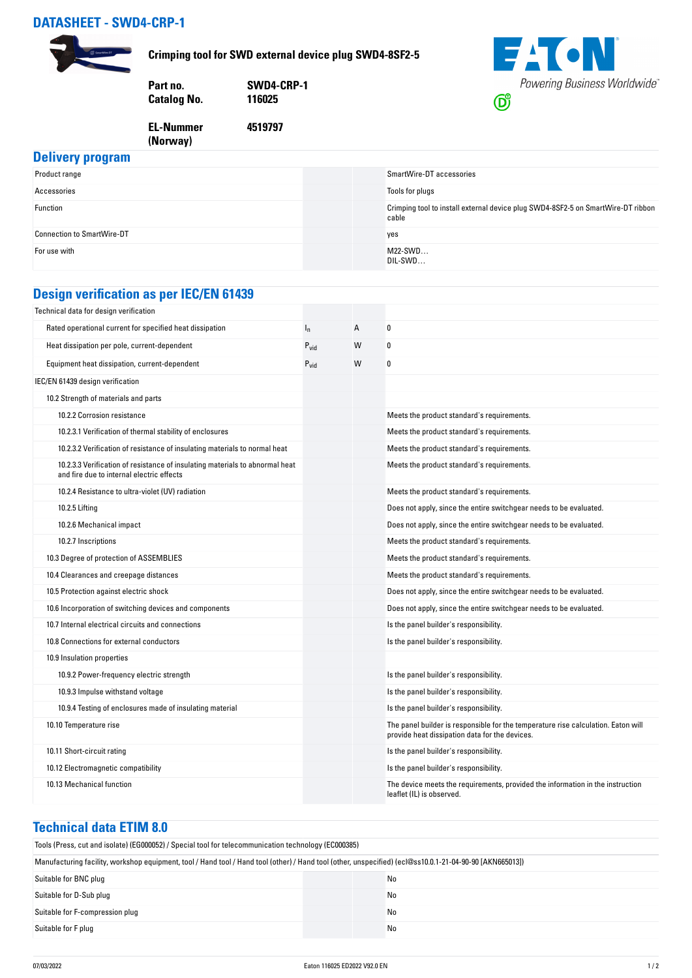#### **DATASHEET - SWD4-CRP-1**



**Crimping tool for SWD external device plug SWD4-8SF2-5**

**4519797**

| Part no.    | SWD4-CRP-1 |
|-------------|------------|
| Catalog No. | 116025     |
|             |            |

**EL-Nummer (Norway)** 



## **Delivery program**

| <b>PURITY BIOTHER</b>             |                                                                                           |
|-----------------------------------|-------------------------------------------------------------------------------------------|
| Product range                     | SmartWire-DT accessories                                                                  |
| Accessories                       | Tools for plugs                                                                           |
| Function                          | Crimping tool to install external device plug SWD4-8SF2-5 on SmartWire-DT ribbon<br>cable |
| <b>Connection to SmartWire-DT</b> | yes                                                                                       |
| For use with                      | $M22-SWD$<br>DIL-SWD                                                                      |

## **Design verification as per IEC/EN 61439**

| Technical data for design verification                                                                                    |           |   |                                                                                                                                     |
|---------------------------------------------------------------------------------------------------------------------------|-----------|---|-------------------------------------------------------------------------------------------------------------------------------------|
| Rated operational current for specified heat dissipation                                                                  | $I_{n}$   | A | 0                                                                                                                                   |
| Heat dissipation per pole, current-dependent                                                                              | $P_{vid}$ | W | 0                                                                                                                                   |
| Equipment heat dissipation, current-dependent                                                                             | $P_{vid}$ | W | 0                                                                                                                                   |
| IEC/EN 61439 design verification                                                                                          |           |   |                                                                                                                                     |
| 10.2 Strength of materials and parts                                                                                      |           |   |                                                                                                                                     |
| 10.2.2 Corrosion resistance                                                                                               |           |   | Meets the product standard's requirements.                                                                                          |
| 10.2.3.1 Verification of thermal stability of enclosures                                                                  |           |   | Meets the product standard's requirements.                                                                                          |
| 10.2.3.2 Verification of resistance of insulating materials to normal heat                                                |           |   | Meets the product standard's requirements.                                                                                          |
| 10.2.3.3 Verification of resistance of insulating materials to abnormal heat<br>and fire due to internal electric effects |           |   | Meets the product standard's requirements.                                                                                          |
| 10.2.4 Resistance to ultra-violet (UV) radiation                                                                          |           |   | Meets the product standard's requirements.                                                                                          |
| 10.2.5 Lifting                                                                                                            |           |   | Does not apply, since the entire switchgear needs to be evaluated.                                                                  |
| 10.2.6 Mechanical impact                                                                                                  |           |   | Does not apply, since the entire switchgear needs to be evaluated.                                                                  |
| 10.2.7 Inscriptions                                                                                                       |           |   | Meets the product standard's requirements.                                                                                          |
| 10.3 Degree of protection of ASSEMBLIES                                                                                   |           |   | Meets the product standard's requirements.                                                                                          |
| 10.4 Clearances and creepage distances                                                                                    |           |   | Meets the product standard's requirements.                                                                                          |
| 10.5 Protection against electric shock                                                                                    |           |   | Does not apply, since the entire switchgear needs to be evaluated.                                                                  |
| 10.6 Incorporation of switching devices and components                                                                    |           |   | Does not apply, since the entire switchgear needs to be evaluated.                                                                  |
| 10.7 Internal electrical circuits and connections                                                                         |           |   | Is the panel builder's responsibility.                                                                                              |
| 10.8 Connections for external conductors                                                                                  |           |   | Is the panel builder's responsibility.                                                                                              |
| 10.9 Insulation properties                                                                                                |           |   |                                                                                                                                     |
| 10.9.2 Power-frequency electric strength                                                                                  |           |   | Is the panel builder's responsibility.                                                                                              |
| 10.9.3 Impulse withstand voltage                                                                                          |           |   | Is the panel builder's responsibility.                                                                                              |
| 10.9.4 Testing of enclosures made of insulating material                                                                  |           |   | Is the panel builder's responsibility.                                                                                              |
| 10.10 Temperature rise                                                                                                    |           |   | The panel builder is responsible for the temperature rise calculation. Eaton will<br>provide heat dissipation data for the devices. |
| 10.11 Short-circuit rating                                                                                                |           |   | Is the panel builder's responsibility.                                                                                              |
| 10.12 Electromagnetic compatibility                                                                                       |           |   | Is the panel builder's responsibility.                                                                                              |
| 10.13 Mechanical function                                                                                                 |           |   | The device meets the requirements, provided the information in the instruction<br>leaflet (IL) is observed.                         |

#### **Technical data ETIM 8.0**

| Tools (Press, cut and isolate) (EG000052) / Special tool for telecommunication technology (EC000385)                                                     |    |  |  |
|----------------------------------------------------------------------------------------------------------------------------------------------------------|----|--|--|
| Manufacturing facility, workshop equipment, tool / Hand tool / Hand tool (other) / Hand tool (other, unspecified) (ecl@ss10.0.1-21-04-90-90 [AKN665013]) |    |  |  |
| Suitable for BNC plug                                                                                                                                    | No |  |  |
| Suitable for D-Sub plug                                                                                                                                  | No |  |  |
| Suitable for F-compression plug                                                                                                                          | No |  |  |
| Suitable for F plug                                                                                                                                      | No |  |  |